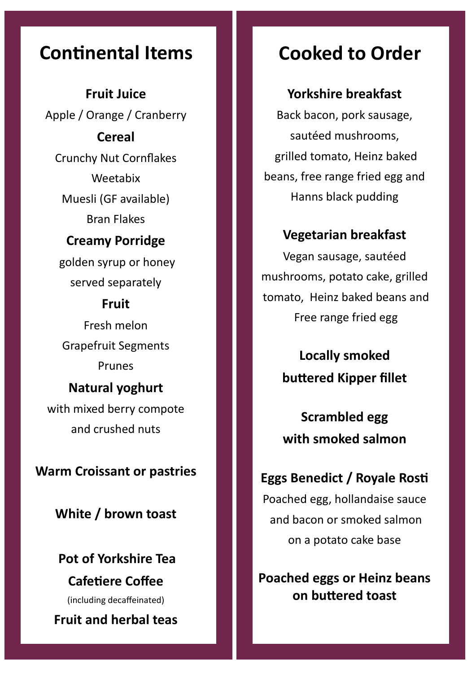**Fruit Juice** Apple / Orange / Cranberry **Cereal**  Crunchy Nut Cornflakes Weetabix Muesli (GF available) Bran Flakes

### **Creamy Porridge**

golden syrup or honey served separately

#### **Fruit**

Fresh melon Grapefruit Segments Prunes **Natural yoghurt** 

with mixed berry compote and crushed nuts

**Warm Croissant or pastries**

**White / brown toast**

**Pot of Yorkshire Tea Cafetiere Coffee**  (including decaffeinated)

**Fruit and herbal teas**

# **Continental Items Cooked to Order**

#### **Yorkshire breakfast**

Back bacon, pork sausage, sautéed mushrooms, grilled tomato, Heinz baked beans, free range fried egg and Hanns black pudding

#### **Vegetarian breakfast**

Vegan sausage, sautéed mushrooms, potato cake, grilled tomato, Heinz baked beans and Free range fried egg

> **Locally smoked buttered Kipper fillet**

## **Scrambled egg with smoked salmon**

# **Eggs Benedict / Royale Rosti**

Poached egg, hollandaise sauce and bacon or smoked salmon on a potato cake base

**Poached eggs or Heinz beans on buttered toast**